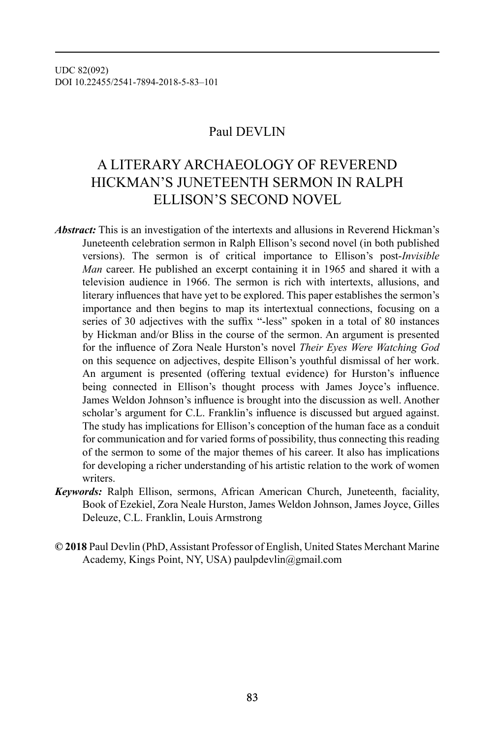#### Paul DEVLIN

## A LITERARY ARCHAEOLOGY OF REVEREND HICKMAN'S JUNETEENTH SERMON IN RALPH ELLISON'S SECOND NOVEL

- *Abstract:* This is an investigation of the intertexts and allusions in Reverend Hickman's Juneteenth celebration sermon in Ralph Ellison's second novel (in both published versions). The sermon is of critical importance to Ellison's post-*Invisible Man* career. He published an excerpt containing it in 1965 and shared it with a television audience in 1966. The sermon is rich with intertexts, allusions, and literary influences that have yet to be explored. This paper establishes the sermon's importance and then begins to map its intertextual connections, focusing on a series of 30 adjectives with the suffix "-less" spoken in a total of 80 instances by Hickman and/or Bliss in the course of the sermon. An argument is presented for the influence of Zora Neale Hurston's novel *Their Eyes Were Watching God* on this sequence on adjectives, despite Ellison's youthful dismissal of her work. An argument is presented (offering textual evidence) for Hurston's influence being connected in Ellison's thought process with James Joyce's influence. James Weldon Johnson's influence is brought into the discussion as well. Another scholar's argument for C.L. Franklin's influence is discussed but argued against. The study has implications for Ellison's conception of the human face as a conduit for communication and for varied forms of possibility, thus connecting this reading of the sermon to some of the major themes of his career. It also has implications for developing a richer understanding of his artistic relation to the work of women writers.
- *Keywords:* Ralph Ellison, sermons, African American Church, Juneteenth, faciality, Book of Ezekiel, Zora Neale Hurston, James Weldon Johnson, James Joyce, Gilles Deleuze, C.L. Franklin, Louis Armstrong
- **© 2018** Paul Devlin (PhD, Assistant Professor of English, United States Merchant Marine Academy, Kings Point, NY, USA) paulpdevlin@gmail.com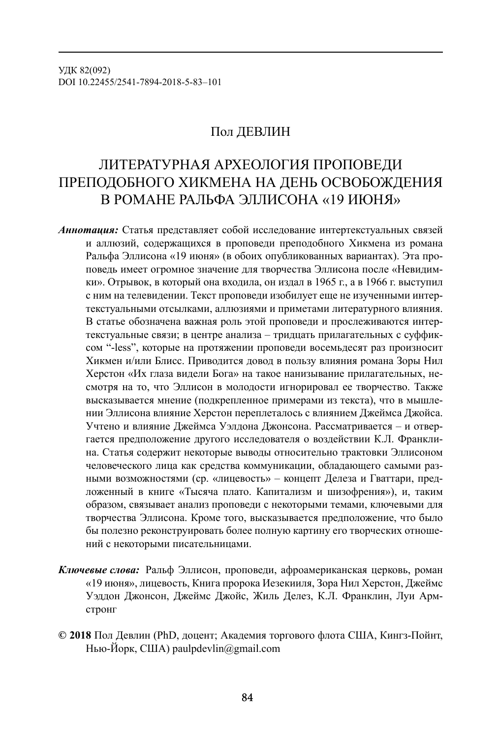### Пол ДЕВЛИН

# ЛИТЕРАТУРНАЯ АРХЕОЛОГИЯ ПРОПОВЕДИ ПРЕПОДОБНОГО ХИКМЕНА НА ДЕНЬ ОСВОБОЖДЕНИЯ В РОМАНЕ РАЛЬФА ЭЛЛИСОНА «19 ИЮНЯ»

*Аннотация:* Статья представляет собой исследование интертекстуальных связей и аллюзий, содержащихся в проповеди преподобного Хикмена из романа Ральфа Эллисона «19 июня» (в обоих опубликованных вариантах). Эта проповедь имеет огромное значение для творчества Эллисона после «Невидимки». Отрывок, в который она входила, он издал в 1965 г., а в 1966 г. выступил с ним на телевидении. Текст проповеди изобилует еще не изученными интертекстуальными отсылками, аллюзиями и приметами литературного влияния. В статье обозначена важная роль этой проповеди и прослеживаются интертекстуальные связи; в центре анализа – тридцать прилагательных с суффиксом "-less", которые на протяжении проповеди восемьдесят раз произносит Хикмен и/или Блисс. Приводится довод в пользу влияния романа Зоры Нил Херстон «Их глаза видели Бога» на такое нанизывание прилагательных, несмотря на то, что Эллисон в молодости игнорировал ее творчество. Также высказывается мнение (подкрепленное примерами из текста), что в мышлении Эллисона влияние Херстон переплеталось с влиянием Джеймса Джойса. Учтено и влияние Джеймса Уэлдона Джонсона. Рассматривается – и отвергается предположение другого исследователя о воздействии К.Л. Франклина. Статья содержит некоторые выводы относительно трактовки Эллисоном человеческого лица как средства коммуникации, обладающего самыми разными возможностями (ср. «лицевость» – концепт Делеза и Гваттари, предложенный в книге «Тысяча плато. Капитализм и шизофрения»), и, таким образом, связывает анализ проповеди с некоторыми темами, ключевыми для творчества Эллисона. Кроме того, высказывается предположение, что было бы полезно реконструировать более полную картину его творческих отношений с некоторыми писательницами.

- *Ключевые слова:* Ральф Эллисон, проповеди, афроамериканская церковь, роман «19 июня», лицевость, Книга пророка Иезекииля, Зора Нил Херстон, Джеймс Уэддон Джонсон, Джеймс Джойс, Жиль Делез, К.Л. Франклин, Луи Армстронг
- **© 2018** Пол Девлин (PhD, доцент; Академия торгового флота США, Кингз-Пойнт, Нью-Йорк, США) paulpdevlin@gmail.com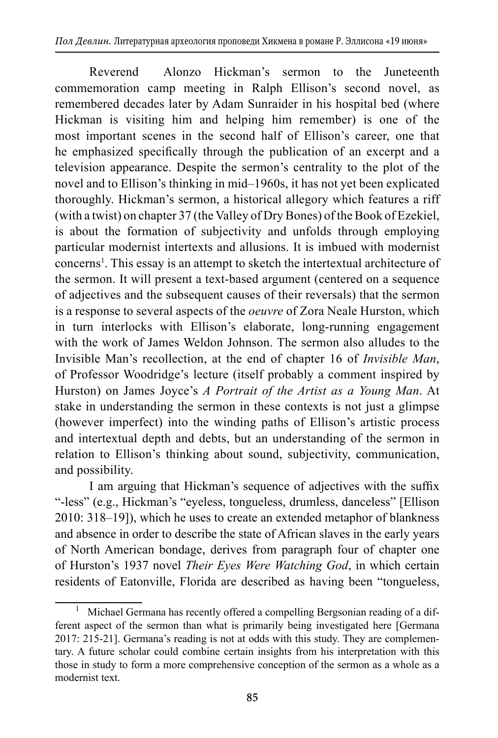Reverend Alonzo Hickman's sermon to the Juneteenth commemoration camp meeting in Ralph Ellison's second novel, as remembered decades later by Adam Sunraider in his hospital bed (where Hickman is visiting him and helping him remember) is one of the most important scenes in the second half of Ellison's career, one that he emphasized specifically through the publication of an excerpt and a television appearance. Despite the sermon's centrality to the plot of the novel and to Ellison's thinking in mid–1960s, it has not yet been explicated thoroughly. Hickman's sermon, a historical allegory which features a riff (with a twist) on chapter 37 (the Valley of Dry Bones) of the Book of Ezekiel, is about the formation of subjectivity and unfolds through employing particular modernist intertexts and allusions. It is imbued with modernist concerns<sup>1</sup>. This essay is an attempt to sketch the intertextual architecture of the sermon. It will present a text-based argument (centered on a sequence of adjectives and the subsequent causes of their reversals) that the sermon is a response to several aspects of the *oeuvre* of Zora Neale Hurston, which in turn interlocks with Ellison's elaborate, long-running engagement with the work of James Weldon Johnson. The sermon also alludes to the Invisible Man's recollection, at the end of chapter 16 of *Invisible Man*, of Professor Woodridge's lecture (itself probably a comment inspired by Hurston) on James Joyce's *A Portrait of the Artist as a Young Man*. At stake in understanding the sermon in these contexts is not just a glimpse (however imperfect) into the winding paths of Ellison's artistic process and intertextual depth and debts, but an understanding of the sermon in relation to Ellison's thinking about sound, subjectivity, communication, and possibility.

I am arguing that Hickman's sequence of adjectives with the suffix "-less" (e.g., Hickman's "eyeless, tongueless, drumless, danceless" [Ellison 2010: 318–19]), which he uses to create an extended metaphor of blankness and absence in order to describe the state of African slaves in the early years of North American bondage, derives from paragraph four of chapter one of Hurston's 1937 novel *Their Eyes Were Watching God*, in which certain residents of Eatonville, Florida are described as having been "tongueless,

<sup>1</sup> Michael Germana has recently offered a compelling Bergsonian reading of a different aspect of the sermon than what is primarily being investigated here [Germana 2017: 215-21]. Germana's reading is not at odds with this study. They are complementary. A future scholar could combine certain insights from his interpretation with this those in study to form a more comprehensive conception of the sermon as a whole as a modernist text.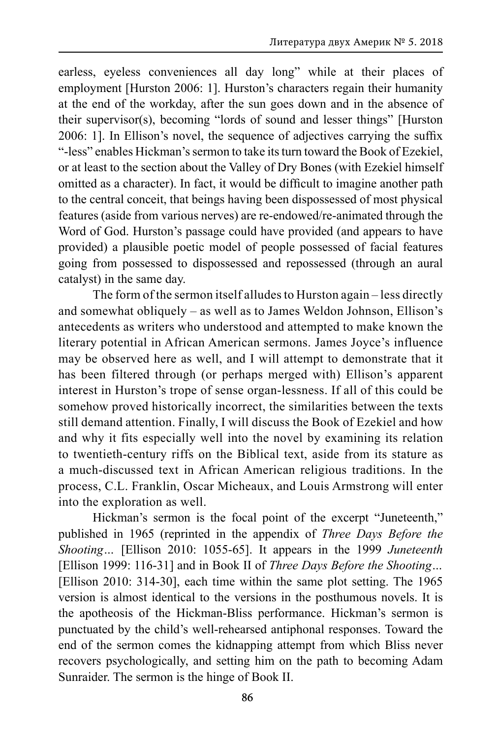earless, eyeless conveniences all day long" while at their places of employment [Hurston 2006: 1]. Hurston's characters regain their humanity at the end of the workday, after the sun goes down and in the absence of their supervisor(s), becoming "lords of sound and lesser things" [Hurston 2006: 1]. In Ellison's novel, the sequence of adjectives carrying the suffix "-less" enables Hickman's sermon to take its turn toward the Book of Ezekiel, or at least to the section about the Valley of Dry Bones (with Ezekiel himself omitted as a character). In fact, it would be difficult to imagine another path to the central conceit, that beings having been dispossessed of most physical features (aside from various nerves) are re-endowed/re-animated through the Word of God. Hurston's passage could have provided (and appears to have provided) a plausible poetic model of people possessed of facial features going from possessed to dispossessed and repossessed (through an aural catalyst) in the same day.

The form of the sermon itself alludes to Hurston again – less directly and somewhat obliquely – as well as to James Weldon Johnson, Ellison's antecedents as writers who understood and attempted to make known the literary potential in African American sermons. James Joyce's influence may be observed here as well, and I will attempt to demonstrate that it has been filtered through (or perhaps merged with) Ellison's apparent interest in Hurston's trope of sense organ-lessness. If all of this could be somehow proved historically incorrect, the similarities between the texts still demand attention. Finally, I will discuss the Book of Ezekiel and how and why it fits especially well into the novel by examining its relation to twentieth-century riffs on the Biblical text, aside from its stature as a much-discussed text in African American religious traditions. In the process, C.L. Franklin, Oscar Micheaux, and Louis Armstrong will enter into the exploration as well.

Hickman's sermon is the focal point of the excerpt "Juneteenth," published in 1965 (reprinted in the appendix of *Three Days Before the Shooting…* [Ellison 2010: 1055-65]. It appears in the 1999 *Juneteenth*  [Ellison 1999: 116-31] and in Book II of *Three Days Before the Shooting…*  [Ellison 2010: 314-30], each time within the same plot setting. The 1965 version is almost identical to the versions in the posthumous novels. It is the apotheosis of the Hickman-Bliss performance. Hickman's sermon is punctuated by the child's well-rehearsed antiphonal responses. Toward the end of the sermon comes the kidnapping attempt from which Bliss never recovers psychologically, and setting him on the path to becoming Adam Sunraider. The sermon is the hinge of Book II.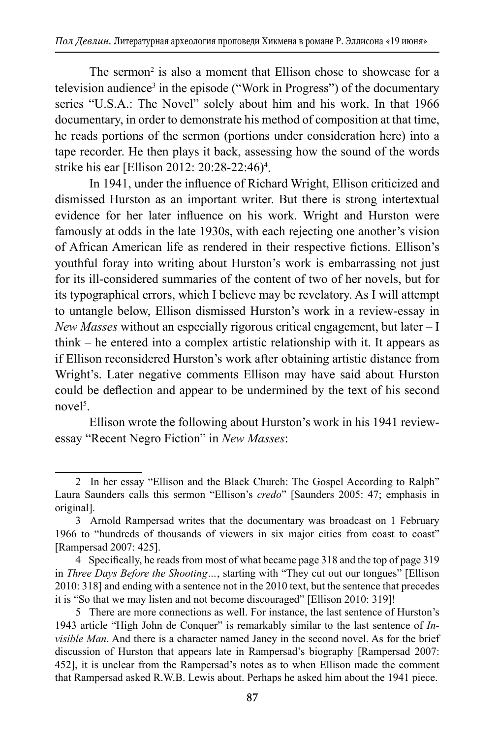The sermon<sup>2</sup> is also a moment that Ellison chose to showcase for a television audience<sup>3</sup> in the episode ("Work in Progress") of the documentary series "U.S.A.: The Novel" solely about him and his work. In that 1966 documentary, in order to demonstrate his method of composition at that time, he reads portions of the sermon (portions under consideration here) into a tape recorder. He then plays it back, assessing how the sound of the words strike his ear [Ellison 2012: 20:28-22:46)4 .

In 1941, under the influence of Richard Wright, Ellison criticized and dismissed Hurston as an important writer. But there is strong intertextual evidence for her later influence on his work. Wright and Hurston were famously at odds in the late 1930s, with each rejecting one another's vision of African American life as rendered in their respective fictions. Ellison's youthful foray into writing about Hurston's work is embarrassing not just for its ill-considered summaries of the content of two of her novels, but for its typographical errors, which I believe may be revelatory. As I will attempt to untangle below, Ellison dismissed Hurston's work in a review-essay in *New Masses* without an especially rigorous critical engagement, but later – I think – he entered into a complex artistic relationship with it. It appears as if Ellison reconsidered Hurston's work after obtaining artistic distance from Wright's. Later negative comments Ellison may have said about Hurston could be deflection and appear to be undermined by the text of his second novel<sup>5</sup>.

Ellison wrote the following about Hurston's work in his 1941 reviewessay "Recent Negro Fiction" in *New Masses*:

<sup>2</sup> In her essay "Ellison and the Black Church: The Gospel According to Ralph" Laura Saunders calls this sermon "Ellison's *credo*" [Saunders 2005: 47; emphasis in original].

<sup>3</sup> Arnold Rampersad writes that the documentary was broadcast on 1 February 1966 to "hundreds of thousands of viewers in six major cities from coast to coast" [Rampersad 2007: 425].

<sup>4</sup> Specifically, he reads from most of what became page 318 and the top of page 319 in *Three Days Before the Shooting…*, starting with "They cut out our tongues" [Ellison 2010: 318] and ending with a sentence not in the 2010 text, but the sentence that precedes it is "So that we may listen and not become discouraged" [Ellison 2010: 319]!

<sup>5</sup> There are more connections as well. For instance, the last sentence of Hurston's 1943 article "High John de Conquer" is remarkably similar to the last sentence of *Invisible Man*. And there is a character named Janey in the second novel. As for the brief discussion of Hurston that appears late in Rampersad's biography [Rampersad 2007: 452], it is unclear from the Rampersad's notes as to when Ellison made the comment that Rampersad asked R.W.B. Lewis about. Perhaps he asked him about the 1941 piece.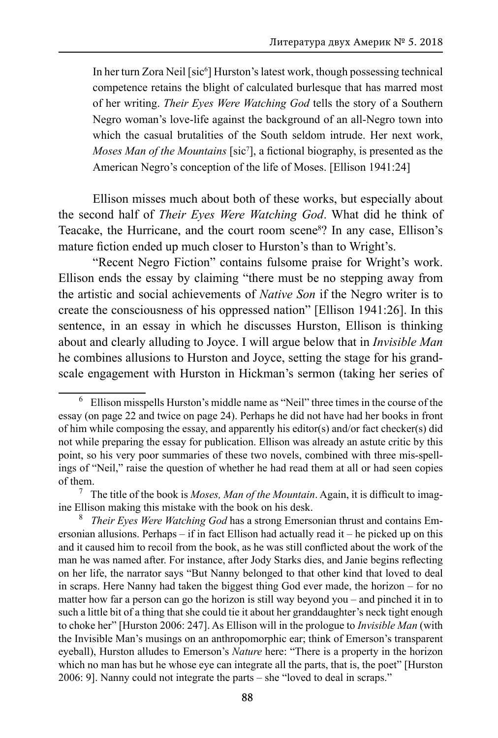In her turn Zora Neil [sic<sup>6</sup>] Hurston's latest work, though possessing technical competence retains the blight of calculated burlesque that has marred most of her writing. *Their Eyes Were Watching God* tells the story of a Southern Negro woman's love-life against the background of an all-Negro town into which the casual brutalities of the South seldom intrude. Her next work, *Moses Man of the Mountains* [sic7 ], a fictional biography, is presented as the American Negro's conception of the life of Moses. [Ellison 1941:24]

Ellison misses much about both of these works, but especially about the second half of *Their Eyes Were Watching God*. What did he think of Teacake, the Hurricane, and the court room scene<sup>8</sup>? In any case, Ellison's mature fiction ended up much closer to Hurston's than to Wright's.

"Recent Negro Fiction" contains fulsome praise for Wright's work. Ellison ends the essay by claiming "there must be no stepping away from the artistic and social achievements of *Native Son* if the Negro writer is to create the consciousness of his oppressed nation" [Ellison 1941:26]. In this sentence, in an essay in which he discusses Hurston, Ellison is thinking about and clearly alluding to Joyce. I will argue below that in *Invisible Man* he combines allusions to Hurston and Joyce, setting the stage for his grandscale engagement with Hurston in Hickman's sermon (taking her series of

<sup>6</sup> Ellison misspells Hurston's middle name as "Neil" three times in the course of the essay (on page 22 and twice on page 24). Perhaps he did not have had her books in front of him while composing the essay, and apparently his editor(s) and/or fact checker(s) did not while preparing the essay for publication. Ellison was already an astute critic by this point, so his very poor summaries of these two novels, combined with three mis-spellings of "Neil," raise the question of whether he had read them at all or had seen copies of them.

<sup>7</sup> The title of the book is *Moses, Man of the Mountain*. Again, it is difficult to imagine Ellison making this mistake with the book on his desk.

<sup>8</sup> *Their Eyes Were Watching God* has a strong Emersonian thrust and contains Emersonian allusions. Perhaps – if in fact Ellison had actually read it – he picked up on this and it caused him to recoil from the book, as he was still conflicted about the work of the man he was named after. For instance, after Jody Starks dies, and Janie begins reflecting on her life, the narrator says "But Nanny belonged to that other kind that loved to deal in scraps. Here Nanny had taken the biggest thing God ever made, the horizon – for no matter how far a person can go the horizon is still way beyond you – and pinched it in to such a little bit of a thing that she could tie it about her granddaughter's neck tight enough to choke her" [Hurston 2006: 247]. As Ellison will in the prologue to *Invisible Man* (with the Invisible Man's musings on an anthropomorphic ear; think of Emerson's transparent eyeball), Hurston alludes to Emerson's *Nature* here: "There is a property in the horizon which no man has but he whose eye can integrate all the parts, that is, the poet" [Hurston 2006: 9]. Nanny could not integrate the parts – she "loved to deal in scraps."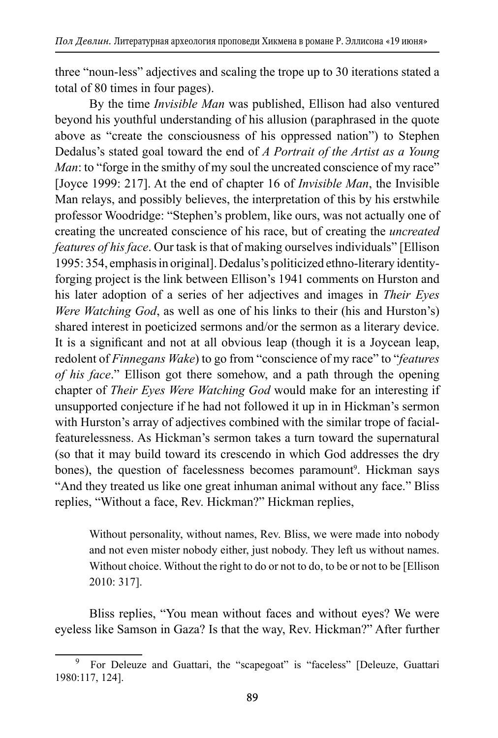three "noun-less" adjectives and scaling the trope up to 30 iterations stated a total of 80 times in four pages).

By the time *Invisible Man* was published, Ellison had also ventured beyond his youthful understanding of his allusion (paraphrased in the quote above as "create the consciousness of his oppressed nation") to Stephen Dedalus's stated goal toward the end of *A Portrait of the Artist as a Young Man*: to "forge in the smithy of my soul the uncreated conscience of my race" [Joyce 1999: 217]. At the end of chapter 16 of *Invisible Man*, the Invisible Man relays, and possibly believes, the interpretation of this by his erstwhile professor Woodridge: "Stephen's problem, like ours, was not actually one of creating the uncreated conscience of his race, but of creating the *uncreated features of his face*. Our task is that of making ourselves individuals" [Ellison 1995: 354, emphasis in original]. Dedalus's politicized ethno-literary identityforging project is the link between Ellison's 1941 comments on Hurston and his later adoption of a series of her adjectives and images in *Their Eyes Were Watching God*, as well as one of his links to their (his and Hurston's) shared interest in poeticized sermons and/or the sermon as a literary device. It is a significant and not at all obvious leap (though it is a Joycean leap, redolent of *Finnegans Wake*) to go from "conscience of my race" to "*features of his face*." Ellison got there somehow, and a path through the opening chapter of *Their Eyes Were Watching God* would make for an interesting if unsupported conjecture if he had not followed it up in in Hickman's sermon with Hurston's array of adjectives combined with the similar trope of facialfeaturelessness. As Hickman's sermon takes a turn toward the supernatural (so that it may build toward its crescendo in which God addresses the dry bones), the question of facelessness becomes paramount<sup>9</sup>. Hickman says "And they treated us like one great inhuman animal without any face." Bliss replies, "Without a face, Rev. Hickman?" Hickman replies,

Without personality, without names, Rev. Bliss, we were made into nobody and not even mister nobody either, just nobody. They left us without names. Without choice. Without the right to do or not to do, to be or not to be [Ellison 2010: 317].

Bliss replies, "You mean without faces and without eyes? We were eyeless like Samson in Gaza? Is that the way, Rev. Hickman?" After further

<sup>9</sup> For Deleuze and Guattari, the "scapegoat" is "faceless" [Deleuze, Guattari 1980:117, 124].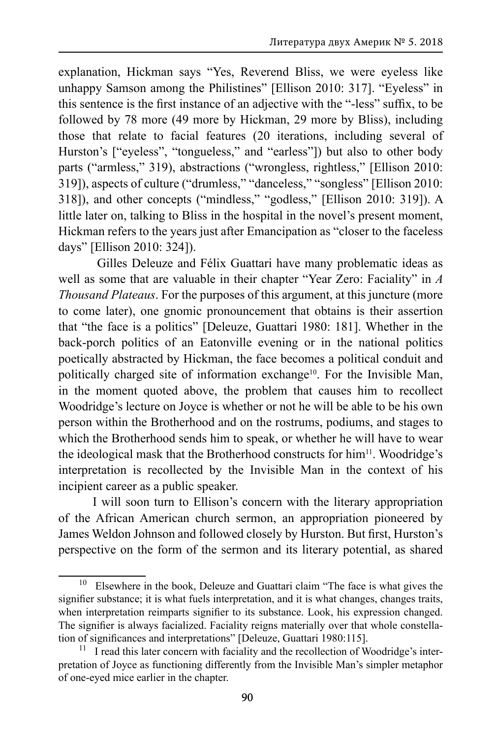explanation, Hickman says "Yes, Reverend Bliss, we were eyeless like unhappy Samson among the Philistines" [Ellison 2010: 317]. "Eyeless" in this sentence is the first instance of an adjective with the "-less" suffix, to be followed by 78 more (49 more by Hickman, 29 more by Bliss), including those that relate to facial features (20 iterations, including several of Hurston's ["eyeless", "tongueless," and "earless"]) but also to other body parts ("armless," 319), abstractions ("wrongless, rightless," [Ellison 2010: 319]), aspects of culture ("drumless," "danceless," "songless" [Ellison 2010: 318]), and other concepts ("mindless," "godless," [Ellison 2010: 319]). A little later on, talking to Bliss in the hospital in the novel's present moment, Hickman refers to the years just after Emancipation as "closer to the faceless days" [Ellison 2010: 324]).

 Gilles Deleuze and Félix Guattari have many problematic ideas as well as some that are valuable in their chapter "Year Zero: Faciality" in *A Thousand Plateaus*. For the purposes of this argument, at this juncture (more to come later), one gnomic pronouncement that obtains is their assertion that "the face is a politics" [Deleuze, Guattari 1980: 181]. Whether in the back-porch politics of an Eatonville evening or in the national politics poetically abstracted by Hickman, the face becomes a political conduit and politically charged site of information exchange<sup>10</sup>. For the Invisible Man, in the moment quoted above, the problem that causes him to recollect Woodridge's lecture on Joyce is whether or not he will be able to be his own person within the Brotherhood and on the rostrums, podiums, and stages to which the Brotherhood sends him to speak, or whether he will have to wear the ideological mask that the Brotherhood constructs for him<sup>11</sup>. Woodridge's interpretation is recollected by the Invisible Man in the context of his incipient career as a public speaker.

I will soon turn to Ellison's concern with the literary appropriation of the African American church sermon, an appropriation pioneered by James Weldon Johnson and followed closely by Hurston. But first, Hurston's perspective on the form of the sermon and its literary potential, as shared

<sup>10</sup> Elsewhere in the book, Deleuze and Guattari claim "The face is what gives the signifier substance; it is what fuels interpretation, and it is what changes, changes traits, when interpretation reimparts signifier to its substance. Look, his expression changed. The signifier is always facialized. Faciality reigns materially over that whole constellation of significances and interpretations" [Deleuze, Guattari 1980:115].

<sup>&</sup>lt;sup>11</sup> I read this later concern with faciality and the recollection of Woodridge's interpretation of Joyce as functioning differently from the Invisible Man's simpler metaphor of one-eyed mice earlier in the chapter.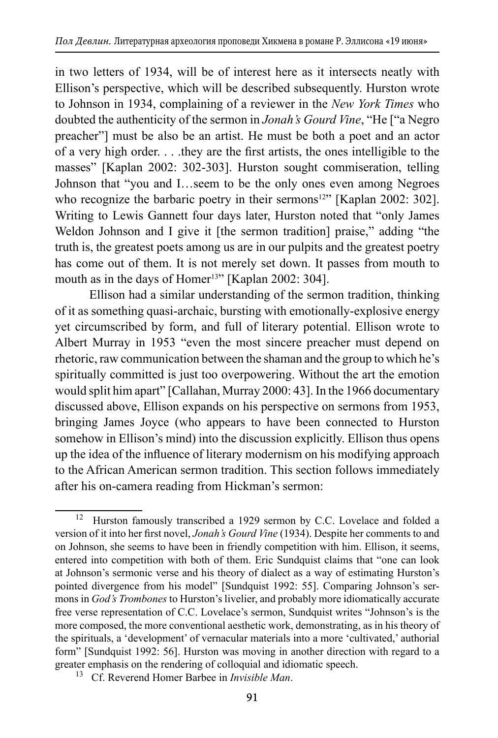in two letters of 1934, will be of interest here as it intersects neatly with Ellison's perspective, which will be described subsequently. Hurston wrote to Johnson in 1934, complaining of a reviewer in the *New York Times* who doubted the authenticity of the sermon in *Jonah's Gourd Vine*, "He ["a Negro preacher"] must be also be an artist. He must be both a poet and an actor of a very high order. . . .they are the first artists, the ones intelligible to the masses" [Kaplan 2002: 302-303]. Hurston sought commiseration, telling Johnson that "you and I…seem to be the only ones even among Negroes who recognize the barbaric poetry in their sermons<sup>12"</sup> [Kaplan 2002: 302]. Writing to Lewis Gannett four days later, Hurston noted that "only James Weldon Johnson and I give it [the sermon tradition] praise," adding "the truth is, the greatest poets among us are in our pulpits and the greatest poetry has come out of them. It is not merely set down. It passes from mouth to mouth as in the days of Homer<sup>13"</sup> [Kaplan 2002: 304].

Ellison had a similar understanding of the sermon tradition, thinking of it as something quasi-archaic, bursting with emotionally-explosive energy yet circumscribed by form, and full of literary potential. Ellison wrote to Albert Murray in 1953 "even the most sincere preacher must depend on rhetoric, raw communication between the shaman and the group to which he's spiritually committed is just too overpowering. Without the art the emotion would split him apart" [Callahan, Murray 2000: 43]. In the 1966 documentary discussed above, Ellison expands on his perspective on sermons from 1953, bringing James Joyce (who appears to have been connected to Hurston somehow in Ellison's mind) into the discussion explicitly. Ellison thus opens up the idea of the influence of literary modernism on his modifying approach to the African American sermon tradition. This section follows immediately after his on-camera reading from Hickman's sermon:

<sup>&</sup>lt;sup>12</sup> Hurston famously transcribed a 1929 sermon by C.C. Lovelace and folded a version of it into her first novel, *Jonah's Gourd Vine* (1934). Despite her comments to and on Johnson, she seems to have been in friendly competition with him. Ellison, it seems, entered into competition with both of them. Eric Sundquist claims that "one can look at Johnson's sermonic verse and his theory of dialect as a way of estimating Hurston's pointed divergence from his model" [Sundquist 1992: 55]. Comparing Johnson's sermons in *God's Trombones* to Hurston's livelier, and probably more idiomatically accurate free verse representation of C.C. Lovelace's sermon, Sundquist writes "Johnson's is the more composed, the more conventional aesthetic work, demonstrating, as in his theory of the spirituals, a 'development' of vernacular materials into a more 'cultivated,' authorial form" [Sundquist 1992: 56]. Hurston was moving in another direction with regard to a greater emphasis on the rendering of colloquial and idiomatic speech.

<sup>13</sup> Cf. Reverend Homer Barbee in *Invisible Man*.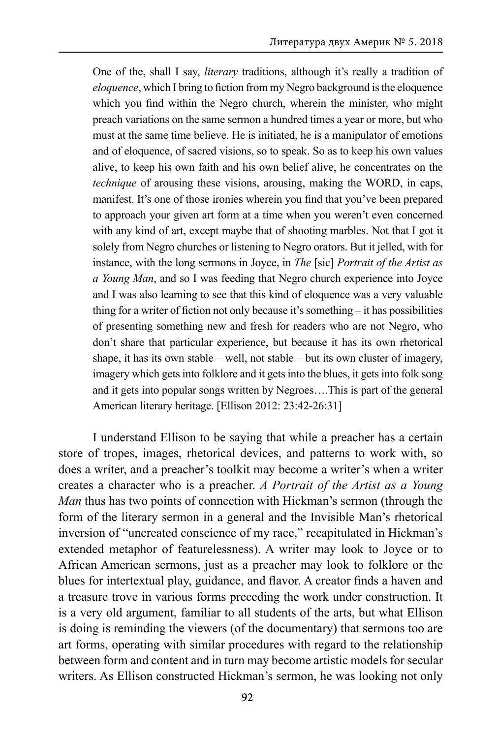One of the, shall I say, *literary* traditions, although it's really a tradition of *eloquence*, which I bring to fiction from my Negro background is the eloquence which you find within the Negro church, wherein the minister, who might preach variations on the same sermon a hundred times a year or more, but who must at the same time believe. He is initiated, he is a manipulator of emotions and of eloquence, of sacred visions, so to speak. So as to keep his own values alive, to keep his own faith and his own belief alive, he concentrates on the *technique* of arousing these visions, arousing, making the WORD, in caps, manifest. It's one of those ironies wherein you find that you've been prepared to approach your given art form at a time when you weren't even concerned with any kind of art, except maybe that of shooting marbles. Not that I got it solely from Negro churches or listening to Negro orators. But it jelled, with for instance, with the long sermons in Joyce, in *The* [sic] *Portrait of the Artist as a Young Man*, and so I was feeding that Negro church experience into Joyce and I was also learning to see that this kind of eloquence was a very valuable thing for a writer of fiction not only because it's something – it has possibilities of presenting something new and fresh for readers who are not Negro, who don't share that particular experience, but because it has its own rhetorical shape, it has its own stable – well, not stable – but its own cluster of imagery, imagery which gets into folklore and it gets into the blues, it gets into folk song and it gets into popular songs written by Negroes….This is part of the general American literary heritage. [Ellison 2012: 23:42-26:31]

I understand Ellison to be saying that while a preacher has a certain store of tropes, images, rhetorical devices, and patterns to work with, so does a writer, and a preacher's toolkit may become a writer's when a writer creates a character who is a preacher. *A Portrait of the Artist as a Young Man* thus has two points of connection with Hickman's sermon (through the form of the literary sermon in a general and the Invisible Man's rhetorical inversion of "uncreated conscience of my race," recapitulated in Hickman's extended metaphor of featurelessness). A writer may look to Joyce or to African American sermons, just as a preacher may look to folklore or the blues for intertextual play, guidance, and flavor. A creator finds a haven and a treasure trove in various forms preceding the work under construction. It is a very old argument, familiar to all students of the arts, but what Ellison is doing is reminding the viewers (of the documentary) that sermons too are art forms, operating with similar procedures with regard to the relationship between form and content and in turn may become artistic models for secular writers. As Ellison constructed Hickman's sermon, he was looking not only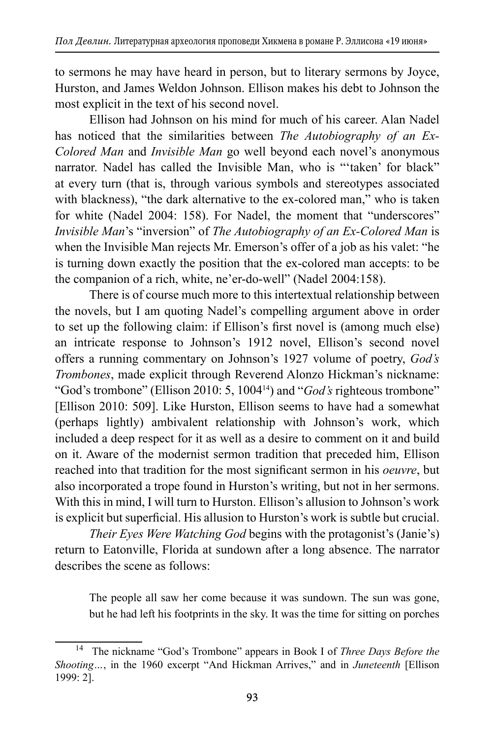to sermons he may have heard in person, but to literary sermons by Joyce, Hurston, and James Weldon Johnson. Ellison makes his debt to Johnson the most explicit in the text of his second novel.

Ellison had Johnson on his mind for much of his career. Alan Nadel has noticed that the similarities between *The Autobiography of an Ex-Colored Man* and *Invisible Man* go well beyond each novel's anonymous narrator. Nadel has called the Invisible Man, who is "'taken' for black" at every turn (that is, through various symbols and stereotypes associated with blackness), "the dark alternative to the ex-colored man," who is taken for white (Nadel 2004: 158). For Nadel, the moment that "underscores" *Invisible Man*'s "inversion" of *The Autobiography of an Ex-Colored Man* is when the Invisible Man rejects Mr. Emerson's offer of a job as his valet: "he is turning down exactly the position that the ex-colored man accepts: to be the companion of a rich, white, ne'er-do-well" (Nadel 2004:158).

There is of course much more to this intertextual relationship between the novels, but I am quoting Nadel's compelling argument above in order to set up the following claim: if Ellison's first novel is (among much else) an intricate response to Johnson's 1912 novel, Ellison's second novel offers a running commentary on Johnson's 1927 volume of poetry, *God's Trombones*, made explicit through Reverend Alonzo Hickman's nickname: "God's trombone" (Ellison 2010: 5, 100414) and "*God's* righteous trombone" [Ellison 2010: 509]. Like Hurston, Ellison seems to have had a somewhat (perhaps lightly) ambivalent relationship with Johnson's work, which included a deep respect for it as well as a desire to comment on it and build on it. Aware of the modernist sermon tradition that preceded him, Ellison reached into that tradition for the most significant sermon in his *oeuvre*, but also incorporated a trope found in Hurston's writing, but not in her sermons. With this in mind, I will turn to Hurston. Ellison's allusion to Johnson's work is explicit but superficial. His allusion to Hurston's work is subtle but crucial.

*Their Eyes Were Watching God* begins with the protagonist's (Janie's) return to Eatonville, Florida at sundown after a long absence. The narrator describes the scene as follows:

The people all saw her come because it was sundown. The sun was gone, but he had left his footprints in the sky. It was the time for sitting on porches

<sup>14</sup> The nickname "God's Trombone" appears in Book I of *Three Days Before the Shooting…*, in the 1960 excerpt "And Hickman Arrives," and in *Juneteenth* [Ellison 1999: 2].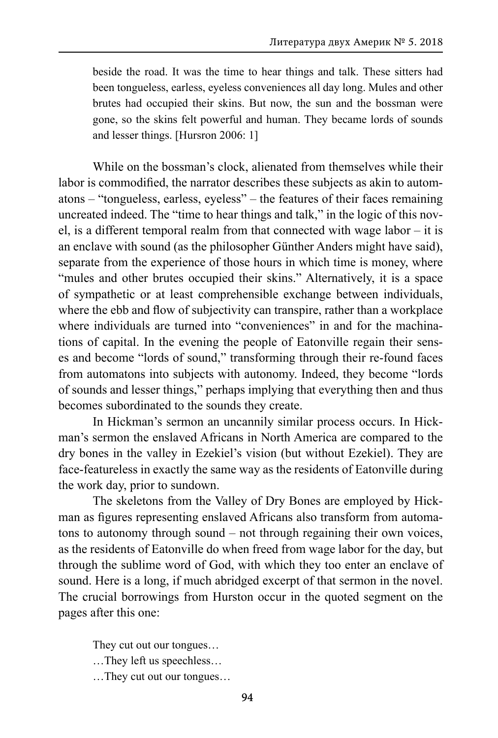beside the road. It was the time to hear things and talk. These sitters had been tongueless, earless, eyeless conveniences all day long. Mules and other brutes had occupied their skins. But now, the sun and the bossman were gone, so the skins felt powerful and human. They became lords of sounds and lesser things. [Hursron 2006: 1]

While on the bossman's clock, alienated from themselves while their labor is commodified, the narrator describes these subjects as akin to automatons – "tongueless, earless, eyeless" – the features of their faces remaining uncreated indeed. The "time to hear things and talk," in the logic of this novel, is a different temporal realm from that connected with wage labor – it is an enclave with sound (as the philosopher Günther Anders might have said), separate from the experience of those hours in which time is money, where "mules and other brutes occupied their skins." Alternatively, it is a space of sympathetic or at least comprehensible exchange between individuals, where the ebb and flow of subjectivity can transpire, rather than a workplace where individuals are turned into "conveniences" in and for the machinations of capital. In the evening the people of Eatonville regain their senses and become "lords of sound," transforming through their re-found faces from automatons into subjects with autonomy. Indeed, they become "lords of sounds and lesser things," perhaps implying that everything then and thus becomes subordinated to the sounds they create.

In Hickman's sermon an uncannily similar process occurs. In Hickman's sermon the enslaved Africans in North America are compared to the dry bones in the valley in Ezekiel's vision (but without Ezekiel). They are face-featureless in exactly the same way as the residents of Eatonville during the work day, prior to sundown.

The skeletons from the Valley of Dry Bones are employed by Hickman as figures representing enslaved Africans also transform from automatons to autonomy through sound – not through regaining their own voices, as the residents of Eatonville do when freed from wage labor for the day, but through the sublime word of God, with which they too enter an enclave of sound. Here is a long, if much abridged excerpt of that sermon in the novel. The crucial borrowings from Hurston occur in the quoted segment on the pages after this one:

They cut out our tongues…

- …They left us speechless…
- …They cut out our tongues…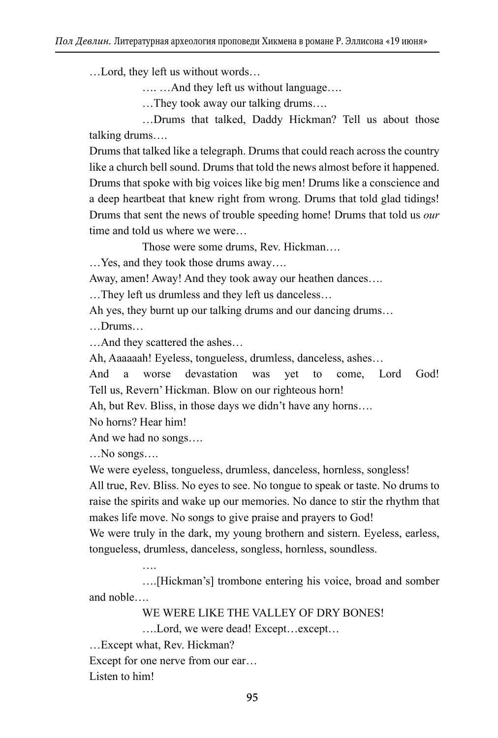…Lord, they left us without words…

…. …And they left us without language….

…They took away our talking drums….

…Drums that talked, Daddy Hickman? Tell us about those talking drums….

Drums that talked like a telegraph. Drums that could reach across the country like a church bell sound. Drums that told the news almost before it happened. Drums that spoke with big voices like big men! Drums like a conscience and a deep heartbeat that knew right from wrong. Drums that told glad tidings! Drums that sent the news of trouble speeding home! Drums that told us *our* time and told us where we were…

Those were some drums, Rev. Hickman….

…Yes, and they took those drums away….

Away, amen! Away! And they took away our heathen dances….

…They left us drumless and they left us danceless…

Ah yes, they burnt up our talking drums and our dancing drums…

…Drums…

…And they scattered the ashes…

Ah, Aaaaaah! Eyeless, tongueless, drumless, danceless, ashes…

And a worse devastation was yet to come, Lord God! Tell us, Revern' Hickman. Blow on our righteous horn!

Ah, but Rev. Bliss, in those days we didn't have any horns….

No horns? Hear him!

And we had no songs….

….

…No songs….

We were eyeless, tongueless, drumless, danceless, hornless, songless!

All true, Rev. Bliss. No eyes to see. No tongue to speak or taste. No drums to raise the spirits and wake up our memories. No dance to stir the rhythm that makes life move. No songs to give praise and prayers to God!

We were truly in the dark, my young brothern and sistern. Eyeless, earless, tongueless, drumless, danceless, songless, hornless, soundless.

….[Hickman's] trombone entering his voice, broad and somber and noble….

WE WERE LIKE THE VALLEY OF DRY BONES!

....Lord, we were dead! Except...except...

…Except what, Rev. Hickman?

Except for one nerve from our ear…

Listen to him!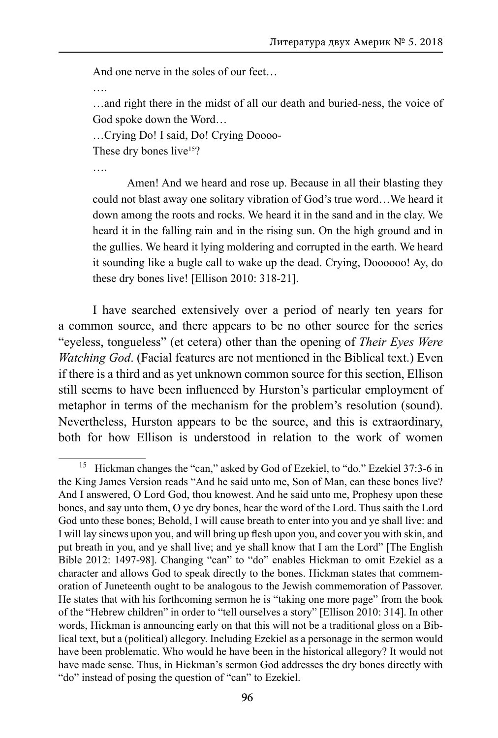And one nerve in the soles of our feet…

…and right there in the midst of all our death and buried-ness, the voice of God spoke down the Word…

…Crying Do! I said, Do! Crying Doooo-

These dry bones live<sup>15</sup>?

….

Amen! And we heard and rose up. Because in all their blasting they could not blast away one solitary vibration of God's true word…We heard it down among the roots and rocks. We heard it in the sand and in the clay. We heard it in the falling rain and in the rising sun. On the high ground and in the gullies. We heard it lying moldering and corrupted in the earth. We heard it sounding like a bugle call to wake up the dead. Crying, Doooooo! Ay, do these dry bones live! [Ellison 2010: 318-21].

I have searched extensively over a period of nearly ten years for a common source, and there appears to be no other source for the series "eyeless, tongueless" (et cetera) other than the opening of *Their Eyes Were Watching God*. (Facial features are not mentioned in the Biblical text.) Even if there is a third and as yet unknown common source for this section, Ellison still seems to have been influenced by Hurston's particular employment of metaphor in terms of the mechanism for the problem's resolution (sound). Nevertheless, Hurston appears to be the source, and this is extraordinary, both for how Ellison is understood in relation to the work of women

<sup>15</sup> Hickman changes the "can," asked by God of Ezekiel, to "do." Ezekiel 37:3-6 in the King James Version reads "And he said unto me, Son of Man, can these bones live? And I answered, O Lord God, thou knowest. And he said unto me, Prophesy upon these bones, and say unto them, O ye dry bones, hear the word of the Lord. Thus saith the Lord God unto these bones; Behold, I will cause breath to enter into you and ye shall live: and I will lay sinews upon you, and will bring up flesh upon you, and cover you with skin, and put breath in you, and ye shall live; and ye shall know that I am the Lord" [The English Bible 2012: 1497-98]. Changing "can" to "do" enables Hickman to omit Ezekiel as a character and allows God to speak directly to the bones. Hickman states that commemoration of Juneteenth ought to be analogous to the Jewish commemoration of Passover. He states that with his forthcoming sermon he is "taking one more page" from the book of the "Hebrew children" in order to "tell ourselves a story" [Ellison 2010: 314]. In other words, Hickman is announcing early on that this will not be a traditional gloss on a Biblical text, but a (political) allegory. Including Ezekiel as a personage in the sermon would have been problematic. Who would he have been in the historical allegory? It would not have made sense. Thus, in Hickman's sermon God addresses the dry bones directly with "do" instead of posing the question of "can" to Ezekiel.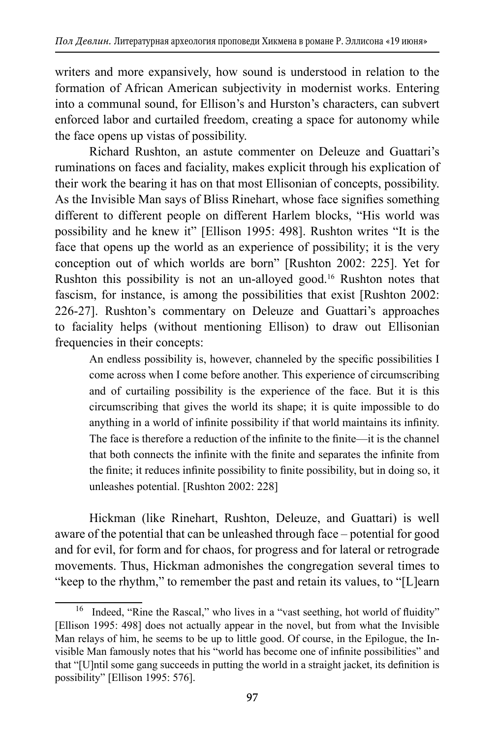writers and more expansively, how sound is understood in relation to the formation of African American subjectivity in modernist works. Entering into a communal sound, for Ellison's and Hurston's characters, can subvert enforced labor and curtailed freedom, creating a space for autonomy while the face opens up vistas of possibility.

Richard Rushton, an astute commenter on Deleuze and Guattari's ruminations on faces and faciality, makes explicit through his explication of their work the bearing it has on that most Ellisonian of concepts, possibility. As the Invisible Man says of Bliss Rinehart, whose face signifies something different to different people on different Harlem blocks, "His world was possibility and he knew it" [Ellison 1995: 498]. Rushton writes "It is the face that opens up the world as an experience of possibility; it is the very conception out of which worlds are born" [Rushton 2002: 225]. Yet for Rushton this possibility is not an un-alloyed good.16 Rushton notes that fascism, for instance, is among the possibilities that exist [Rushton 2002: 226-27]. Rushton's commentary on Deleuze and Guattari's approaches to faciality helps (without mentioning Ellison) to draw out Ellisonian frequencies in their concepts:

An endless possibility is, however, channeled by the specific possibilities I come across when I come before another. This experience of circumscribing and of curtailing possibility is the experience of the face. But it is this circumscribing that gives the world its shape; it is quite impossible to do anything in a world of infinite possibility if that world maintains its infinity. The face is therefore a reduction of the infinite to the finite—it is the channel that both connects the infinite with the finite and separates the infinite from the finite; it reduces infinite possibility to finite possibility, but in doing so, it unleashes potential. [Rushton 2002: 228]

Hickman (like Rinehart, Rushton, Deleuze, and Guattari) is well aware of the potential that can be unleashed through face – potential for good and for evil, for form and for chaos, for progress and for lateral or retrograde movements. Thus, Hickman admonishes the congregation several times to "keep to the rhythm," to remember the past and retain its values, to "[L]earn

Indeed, "Rine the Rascal," who lives in a "vast seething, hot world of fluidity" [Ellison 1995: 498] does not actually appear in the novel, but from what the Invisible Man relays of him, he seems to be up to little good. Of course, in the Epilogue, the Invisible Man famously notes that his "world has become one of infinite possibilities" and that "[U]ntil some gang succeeds in putting the world in a straight jacket, its definition is possibility" [Ellison 1995: 576].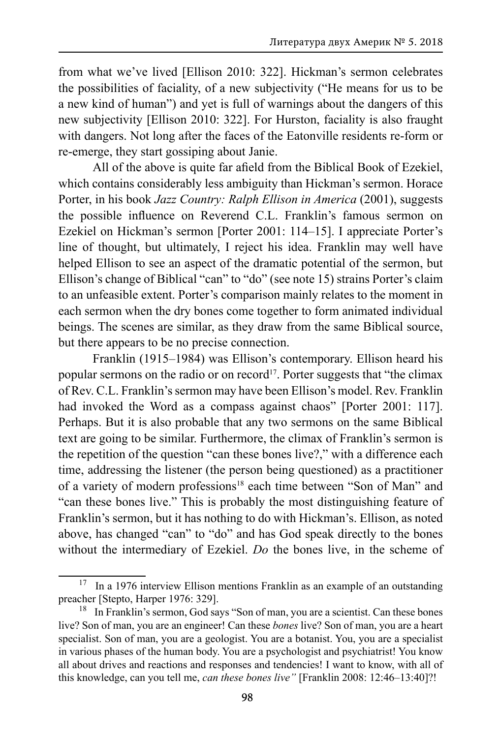from what we've lived [Ellison 2010: 322]. Hickman's sermon celebrates the possibilities of faciality, of a new subjectivity ("He means for us to be a new kind of human") and yet is full of warnings about the dangers of this new subjectivity [Ellison 2010: 322]. For Hurston, faciality is also fraught with dangers. Not long after the faces of the Eatonville residents re-form or re-emerge, they start gossiping about Janie.

All of the above is quite far afield from the Biblical Book of Ezekiel, which contains considerably less ambiguity than Hickman's sermon. Horace Porter, in his book *Jazz Country: Ralph Ellison in America* (2001), suggests the possible influence on Reverend C.L. Franklin's famous sermon on Ezekiel on Hickman's sermon [Porter 2001: 114–15]. I appreciate Porter's line of thought, but ultimately, I reject his idea. Franklin may well have helped Ellison to see an aspect of the dramatic potential of the sermon, but Ellison's change of Biblical "can" to "do" (see note 15) strains Porter's claim to an unfeasible extent. Porter's comparison mainly relates to the moment in each sermon when the dry bones come together to form animated individual beings. The scenes are similar, as they draw from the same Biblical source, but there appears to be no precise connection.

Franklin (1915–1984) was Ellison's contemporary. Ellison heard his popular sermons on the radio or on record<sup>17</sup>. Porter suggests that "the climax" of Rev. C.L. Franklin's sermon may have been Ellison's model. Rev. Franklin had invoked the Word as a compass against chaos" [Porter 2001: 117]. Perhaps. But it is also probable that any two sermons on the same Biblical text are going to be similar. Furthermore, the climax of Franklin's sermon is the repetition of the question "can these bones live?," with a difference each time, addressing the listener (the person being questioned) as a practitioner of a variety of modern professions<sup>18</sup> each time between "Son of Man" and "can these bones live." This is probably the most distinguishing feature of Franklin's sermon, but it has nothing to do with Hickman's. Ellison, as noted above, has changed "can" to "do" and has God speak directly to the bones without the intermediary of Ezekiel. *Do* the bones live, in the scheme of

 $17$  In a 1976 interview Ellison mentions Franklin as an example of an outstanding preacher [Stepto, Harper 1976: 329].<br><sup>18</sup> In Franklin's sermon, God says "Son of man, you are a scientist. Can these bones

live? Son of man, you are an engineer! Can these *bones* live? Son of man, you are a heart specialist. Son of man, you are a geologist. You are a botanist. You, you are a specialist in various phases of the human body. You are a psychologist and psychiatrist! You know all about drives and reactions and responses and tendencies! I want to know, with all of this knowledge, can you tell me, *can these bones live"* [Franklin 2008: 12:46–13:40]?!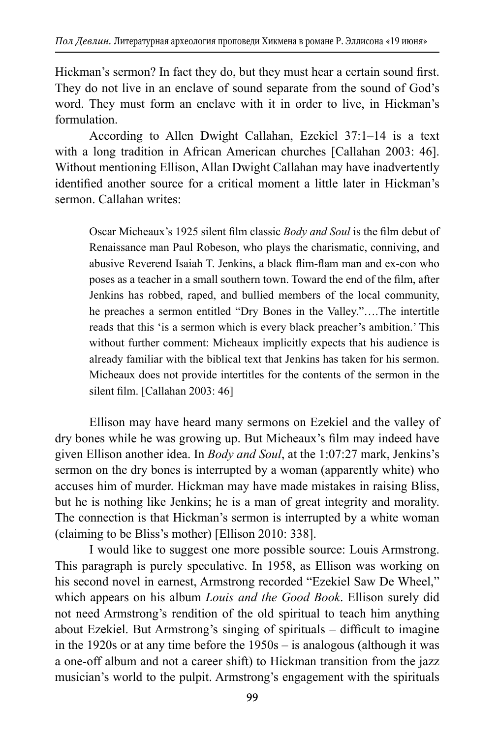Hickman's sermon? In fact they do, but they must hear a certain sound first. They do not live in an enclave of sound separate from the sound of God's word. They must form an enclave with it in order to live, in Hickman's formulation.

According to Allen Dwight Callahan, Ezekiel 37:1–14 is a text with a long tradition in African American churches [Callahan 2003: 46]. Without mentioning Ellison, Allan Dwight Callahan may have inadvertently identified another source for a critical moment a little later in Hickman's sermon. Callahan writes:

Oscar Micheaux's 1925 silent film classic *Body and Soul* is the film debut of Renaissance man Paul Robeson, who plays the charismatic, conniving, and abusive Reverend Isaiah T. Jenkins, a black flim-flam man and ex-con who poses as a teacher in a small southern town. Toward the end of the film, after Jenkins has robbed, raped, and bullied members of the local community, he preaches a sermon entitled "Dry Bones in the Valley."….The intertitle reads that this 'is a sermon which is every black preacher's ambition.' This without further comment: Micheaux implicitly expects that his audience is already familiar with the biblical text that Jenkins has taken for his sermon. Micheaux does not provide intertitles for the contents of the sermon in the silent film. [Callahan 2003: 46]

Ellison may have heard many sermons on Ezekiel and the valley of dry bones while he was growing up. But Micheaux's film may indeed have given Ellison another idea. In *Body and Soul*, at the 1:07:27 mark, Jenkins's sermon on the dry bones is interrupted by a woman (apparently white) who accuses him of murder. Hickman may have made mistakes in raising Bliss, but he is nothing like Jenkins; he is a man of great integrity and morality. The connection is that Hickman's sermon is interrupted by a white woman (claiming to be Bliss's mother) [Ellison 2010: 338].

I would like to suggest one more possible source: Louis Armstrong. This paragraph is purely speculative. In 1958, as Ellison was working on his second novel in earnest, Armstrong recorded "Ezekiel Saw De Wheel," which appears on his album *Louis and the Good Book*. Ellison surely did not need Armstrong's rendition of the old spiritual to teach him anything about Ezekiel. But Armstrong's singing of spirituals – difficult to imagine in the 1920s or at any time before the 1950s – is analogous (although it was a one-off album and not a career shift) to Hickman transition from the jazz musician's world to the pulpit. Armstrong's engagement with the spirituals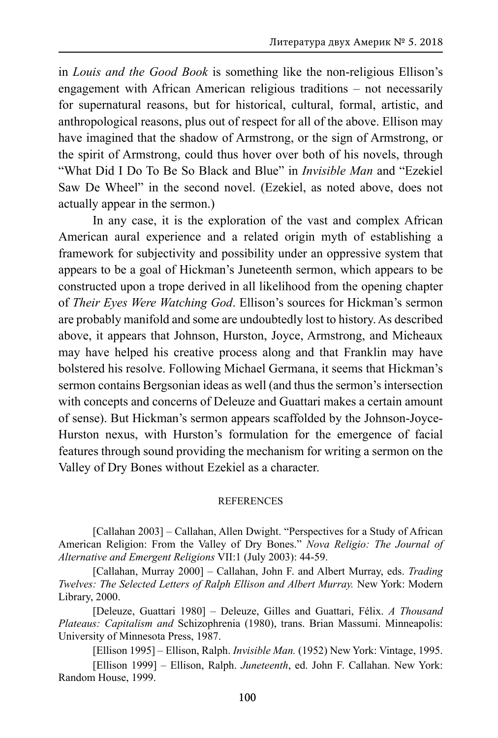in *Louis and the Good Book* is something like the non-religious Ellison's engagement with African American religious traditions – not necessarily for supernatural reasons, but for historical, cultural, formal, artistic, and anthropological reasons, plus out of respect for all of the above. Ellison may have imagined that the shadow of Armstrong, or the sign of Armstrong, or the spirit of Armstrong, could thus hover over both of his novels, through "What Did I Do To Be So Black and Blue" in *Invisible Man* and "Ezekiel Saw De Wheel" in the second novel. (Ezekiel, as noted above, does not actually appear in the sermon.)

In any case, it is the exploration of the vast and complex African American aural experience and a related origin myth of establishing a framework for subjectivity and possibility under an oppressive system that appears to be a goal of Hickman's Juneteenth sermon, which appears to be constructed upon a trope derived in all likelihood from the opening chapter of *Their Eyes Were Watching God*. Ellison's sources for Hickman's sermon are probably manifold and some are undoubtedly lost to history. As described above, it appears that Johnson, Hurston, Joyce, Armstrong, and Micheaux may have helped his creative process along and that Franklin may have bolstered his resolve. Following Michael Germana, it seems that Hickman's sermon contains Bergsonian ideas as well (and thus the sermon's intersection with concepts and concerns of Deleuze and Guattari makes a certain amount of sense). But Hickman's sermon appears scaffolded by the Johnson-Joyce-Hurston nexus, with Hurston's formulation for the emergence of facial features through sound providing the mechanism for writing a sermon on the Valley of Dry Bones without Ezekiel as a character.

#### REFERENCES

[Callahan 2003] – Callahan, Allen Dwight. "Perspectives for a Study of African American Religion: From the Valley of Dry Bones." *Nova Religio: The Journal of Alternative and Emergent Religions* VII:1 (July 2003): 44-59.

[Callahan, Murray 2000] – Callahan, John F. and Albert Murray, eds. *Trading Twelves: The Selected Letters of Ralph Ellison and Albert Murray.* New York: Modern Library, 2000.

[Deleuze, Guattari 1980] – Deleuze, Gilles and Guattari, Félix. *A Thousand Plateaus: Capitalism and* Schizophrenia (1980), trans. Brian Massumi. Minneapolis: University of Minnesota Press, 1987.

[Ellison 1995] – Ellison, Ralph. *Invisible Man.* (1952) New York: Vintage, 1995. [Ellison 1999] – Ellison, Ralph. *Juneteenth*, ed. John F. Callahan. New York: Random House, 1999.